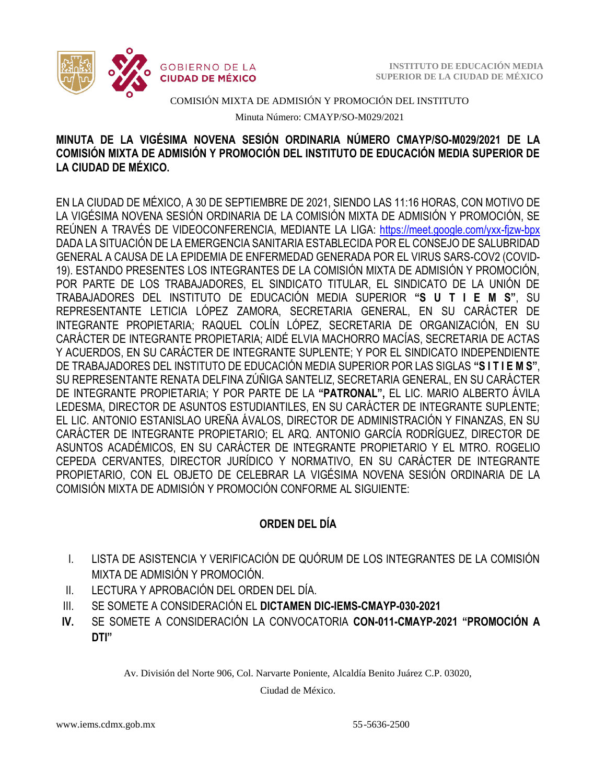



Minuta Número: CMAYP/SO-M029/2021

# **MINUTA DE LA VIGÉSIMA NOVENA SESIÓN ORDINARIA NÚMERO CMAYP/SO-M029/2021 DE LA COMISIÓN MIXTA DE ADMISIÓN Y PROMOCIÓN DEL INSTITUTO DE EDUCACIÓN MEDIA SUPERIOR DE LA CIUDAD DE MÉXICO.**

EN LA CIUDAD DE MÉXICO, A 30 DE SEPTIEMBRE DE 2021, SIENDO LAS 11:16 HORAS, CON MOTIVO DE LA VIGÉSIMA NOVENA SESIÓN ORDINARIA DE LA COMISIÓN MIXTA DE ADMISIÓN Y PROMOCIÓN, SE REÚNEN A TRAVÉS DE VIDEOCONFERENCIA, MEDIANTE LA LIGA: <https://meet.google.com/yxx-fjzw-bpx> DADA LA SITUACIÓN DE LA EMERGENCIA SANITARIA ESTABLECIDA POR EL CONSEJO DE SALUBRIDAD GENERAL A CAUSA DE LA EPIDEMIA DE ENFERMEDAD GENERADA POR EL VIRUS SARS-COV2 (COVID-19). ESTANDO PRESENTES LOS INTEGRANTES DE LA COMISIÓN MIXTA DE ADMISIÓN Y PROMOCIÓN, POR PARTE DE LOS TRABAJADORES, EL SINDICATO TITULAR, EL SINDICATO DE LA UNIÓN DE TRABAJADORES DEL INSTITUTO DE EDUCACIÓN MEDIA SUPERIOR **"S U T I E M S"**, SU REPRESENTANTE LETICIA LÓPEZ ZAMORA, SECRETARIA GENERAL, EN SU CARÁCTER DE INTEGRANTE PROPIETARIA; RAQUEL COLÍN LÓPEZ, SECRETARIA DE ORGANIZACIÓN, EN SU CARÁCTER DE INTEGRANTE PROPIETARIA; AIDÉ ELVIA MACHORRO MACÍAS, SECRETARIA DE ACTAS Y ACUERDOS, EN SU CARÁCTER DE INTEGRANTE SUPLENTE; Y POR EL SINDICATO INDEPENDIENTE DE TRABAJADORES DEL INSTITUTO DE EDUCACIÓN MEDIA SUPERIOR POR LAS SIGLAS **"S I T I E M S"**, SU REPRESENTANTE RENATA DELFINA ZÚÑIGA SANTELIZ, SECRETARIA GENERAL, EN SU CARÁCTER DE INTEGRANTE PROPIETARIA; Y POR PARTE DE LA **"PATRONAL",** EL LIC. MARIO ALBERTO ÁVILA LEDESMA, DIRECTOR DE ASUNTOS ESTUDIANTILES, EN SU CARÁCTER DE INTEGRANTE SUPLENTE; EL LIC. ANTONIO ESTANISLAO UREÑA ÁVALOS, DIRECTOR DE ADMINISTRACIÓN Y FINANZAS, EN SU CARÁCTER DE INTEGRANTE PROPIETARIO; EL ARQ. ANTONIO GARCÍA RODRÍGUEZ, DIRECTOR DE ASUNTOS ACADÉMICOS, EN SU CARÁCTER DE INTEGRANTE PROPIETARIO Y EL MTRO. ROGELIO CEPEDA CERVANTES, DIRECTOR JURÍDICO Y NORMATIVO, EN SU CARÁCTER DE INTEGRANTE PROPIETARIO, CON EL OBJETO DE CELEBRAR LA VIGÉSIMA NOVENA SESIÓN ORDINARIA DE LA COMISIÓN MIXTA DE ADMISIÓN Y PROMOCIÓN CONFORME AL SIGUIENTE:

## **ORDEN DEL DÍA**

- I. LISTA DE ASISTENCIA Y VERIFICACIÓN DE QUÓRUM DE LOS INTEGRANTES DE LA COMISIÓN MIXTA DE ADMISIÓN Y PROMOCIÓN.
- II. LECTURA Y APROBACIÓN DEL ORDEN DEL DÍA.
- III. SE SOMETE A CONSIDERACIÓN EL **DICTAMEN DIC-IEMS-CMAYP-030-2021**
- **IV.** SE SOMETE A CONSIDERACIÓN LA CONVOCATORIA **CON-011-CMAYP-2021 "PROMOCIÓN A DTI"**

Av. División del Norte 906, Col. Narvarte Poniente, Alcaldía Benito Juárez C.P. 03020,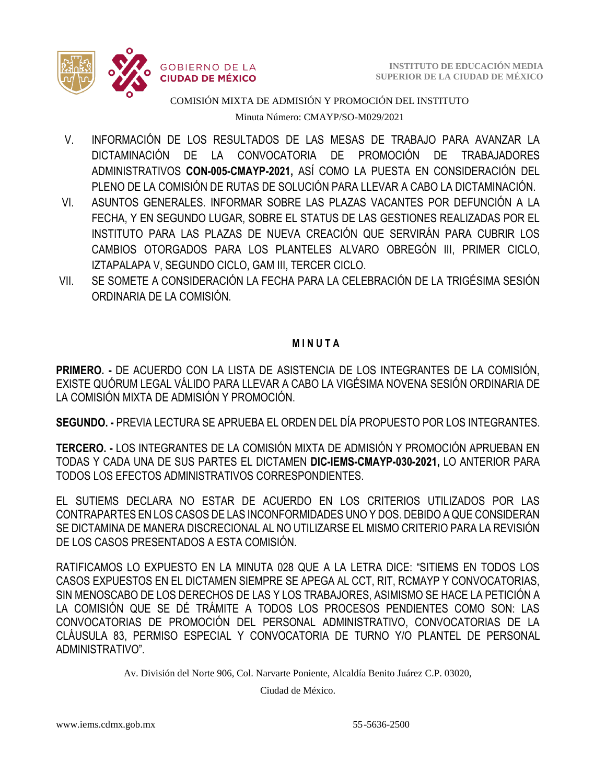

Minuta Número: CMAYP/SO-M029/2021

- V. INFORMACIÓN DE LOS RESULTADOS DE LAS MESAS DE TRABAJO PARA AVANZAR LA DICTAMINACIÓN DE LA CONVOCATORIA DE PROMOCIÓN DE TRABAJADORES ADMINISTRATIVOS **CON-005-CMAYP-2021,** ASÍ COMO LA PUESTA EN CONSIDERACIÓN DEL PLENO DE LA COMISIÓN DE RUTAS DE SOLUCIÓN PARA LLEVAR A CABO LA DICTAMINACIÓN.
- VI. ASUNTOS GENERALES. INFORMAR SOBRE LAS PLAZAS VACANTES POR DEFUNCIÓN A LA FECHA, Y EN SEGUNDO LUGAR, SOBRE EL STATUS DE LAS GESTIONES REALIZADAS POR EL INSTITUTO PARA LAS PLAZAS DE NUEVA CREACIÓN QUE SERVIRÁN PARA CUBRIR LOS CAMBIOS OTORGADOS PARA LOS PLANTELES ALVARO OBREGÓN III, PRIMER CICLO, IZTAPALAPA V, SEGUNDO CICLO, GAM III, TERCER CICLO.
- VII. SE SOMETE A CONSIDERACIÓN LA FECHA PARA LA CELEBRACIÓN DE LA TRIGÉSIMA SESIÓN ORDINARIA DE LA COMISIÓN.

### **M I N U T A**

**PRIMERO. -** DE ACUERDO CON LA LISTA DE ASISTENCIA DE LOS INTEGRANTES DE LA COMISIÓN, EXISTE QUÓRUM LEGAL VÁLIDO PARA LLEVAR A CABO LA VIGÉSIMA NOVENA SESIÓN ORDINARIA DE LA COMISIÓN MIXTA DE ADMISIÓN Y PROMOCIÓN.

**SEGUNDO. -** PREVIA LECTURA SE APRUEBA EL ORDEN DEL DÍA PROPUESTO POR LOS INTEGRANTES.

**TERCERO. -** LOS INTEGRANTES DE LA COMISIÓN MIXTA DE ADMISIÓN Y PROMOCIÓN APRUEBAN EN TODAS Y CADA UNA DE SUS PARTES EL DICTAMEN **DIC-IEMS-CMAYP-030-2021,** LO ANTERIOR PARA TODOS LOS EFECTOS ADMINISTRATIVOS CORRESPONDIENTES.

EL SUTIEMS DECLARA NO ESTAR DE ACUERDO EN LOS CRITERIOS UTILIZADOS POR LAS CONTRAPARTES EN LOS CASOS DE LAS INCONFORMIDADES UNO Y DOS. DEBIDO A QUE CONSIDERAN SE DICTAMINA DE MANERA DISCRECIONAL AL NO UTILIZARSE EL MISMO CRITERIO PARA LA REVISIÓN DE LOS CASOS PRESENTADOS A ESTA COMISIÓN.

RATIFICAMOS LO EXPUESTO EN LA MINUTA 028 QUE A LA LETRA DICE: "SITIEMS EN TODOS LOS CASOS EXPUESTOS EN EL DICTAMEN SIEMPRE SE APEGA AL CCT, RIT, RCMAYP Y CONVOCATORIAS, SIN MENOSCABO DE LOS DERECHOS DE LAS Y LOS TRABAJORES, ASIMISMO SE HACE LA PETICIÓN A LA COMISIÓN QUE SE DÉ TRÁMITE A TODOS LOS PROCESOS PENDIENTES COMO SON: LAS CONVOCATORIAS DE PROMOCIÓN DEL PERSONAL ADMINISTRATIVO, CONVOCATORIAS DE LA CLÁUSULA 83, PERMISO ESPECIAL Y CONVOCATORIA DE TURNO Y/O PLANTEL DE PERSONAL ADMINISTRATIVO".

Av. División del Norte 906, Col. Narvarte Poniente, Alcaldía Benito Juárez C.P. 03020,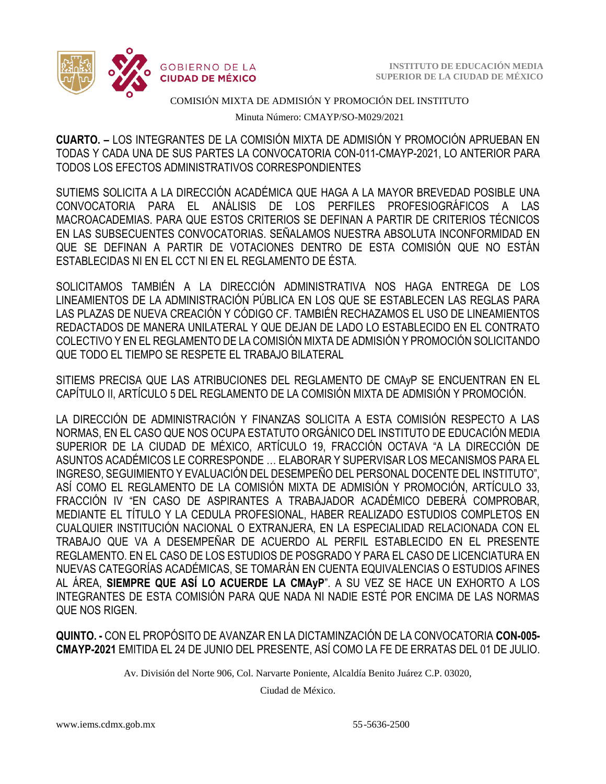

Minuta Número: CMAYP/SO-M029/2021

 **CUARTO. –** LOS INTEGRANTES DE LA COMISIÓN MIXTA DE ADMISIÓN Y PROMOCIÓN APRUEBAN EN TODAS Y CADA UNA DE SUS PARTES LA CONVOCATORIA CON-011-CMAYP-2021, LO ANTERIOR PARA TODOS LOS EFECTOS ADMINISTRATIVOS CORRESPONDIENTES

SUTIEMS SOLICITA A LA DIRECCIÓN ACADÉMICA QUE HAGA A LA MAYOR BREVEDAD POSIBLE UNA CONVOCATORIA PARA EL ANÁLISIS DE LOS PERFILES PROFESIOGRÁFICOS A LAS MACROACADEMIAS. PARA QUE ESTOS CRITERIOS SE DEFINAN A PARTIR DE CRITERIOS TÉCNICOS EN LAS SUBSECUENTES CONVOCATORIAS. SEÑALAMOS NUESTRA ABSOLUTA INCONFORMIDAD EN QUE SE DEFINAN A PARTIR DE VOTACIONES DENTRO DE ESTA COMISIÓN QUE NO ESTÁN ESTABLECIDAS NI EN EL CCT NI EN EL REGLAMENTO DE ÉSTA.

SOLICITAMOS TAMBIÉN A LA DIRECCIÓN ADMINISTRATIVA NOS HAGA ENTREGA DE LOS LINEAMIENTOS DE LA ADMINISTRACIÓN PÚBLICA EN LOS QUE SE ESTABLECEN LAS REGLAS PARA LAS PLAZAS DE NUEVA CREACIÓN Y CÓDIGO CF. TAMBIÉN RECHAZAMOS EL USO DE LINEAMIENTOS REDACTADOS DE MANERA UNILATERAL Y QUE DEJAN DE LADO LO ESTABLECIDO EN EL CONTRATO COLECTIVO Y EN EL REGLAMENTO DE LA COMISIÓN MIXTA DE ADMISIÓN Y PROMOCIÓN SOLICITANDO QUE TODO EL TIEMPO SE RESPETE EL TRABAJO BILATERAL

SITIEMS PRECISA QUE LAS ATRIBUCIONES DEL REGLAMENTO DE CMAyP SE ENCUENTRAN EN EL CAPÍTULO II, ARTÍCULO 5 DEL REGLAMENTO DE LA COMISIÓN MIXTA DE ADMISIÓN Y PROMOCIÓN.

LA DIRECCIÓN DE ADMINISTRACIÓN Y FINANZAS SOLICITA A ESTA COMISIÓN RESPECTO A LAS NORMAS, EN EL CASO QUE NOS OCUPA ESTATUTO ORGÁNICO DEL INSTITUTO DE EDUCACIÓN MEDIA SUPERIOR DE LA CIUDAD DE MÉXICO, ARTÍCULO 19, FRACCIÓN OCTAVA "A LA DIRECCIÓN DE ASUNTOS ACADÉMICOS LE CORRESPONDE … ELABORAR Y SUPERVISAR LOS MECANISMOS PARA EL INGRESO, SEGUIMIENTO Y EVALUACIÓN DEL DESEMPEÑO DEL PERSONAL DOCENTE DEL INSTITUTO", ASÍ COMO EL REGLAMENTO DE LA COMISIÓN MIXTA DE ADMISIÓN Y PROMOCIÓN, ARTÍCULO 33, FRACCIÓN IV "EN CASO DE ASPIRANTES A TRABAJADOR ACADÉMICO DEBERÁ COMPROBAR, MEDIANTE EL TÍTULO Y LA CEDULA PROFESIONAL, HABER REALIZADO ESTUDIOS COMPLETOS EN CUALQUIER INSTITUCIÓN NACIONAL O EXTRANJERA, EN LA ESPECIALIDAD RELACIONADA CON EL TRABAJO QUE VA A DESEMPEÑAR DE ACUERDO AL PERFIL ESTABLECIDO EN EL PRESENTE REGLAMENTO. EN EL CASO DE LOS ESTUDIOS DE POSGRADO Y PARA EL CASO DE LICENCIATURA EN NUEVAS CATEGORÍAS ACADÉMICAS, SE TOMARÁN EN CUENTA EQUIVALENCIAS O ESTUDIOS AFINES AL ÁREA, **SIEMPRE QUE ASÍ LO ACUERDE LA CMAyP**". A SU VEZ SE HACE UN EXHORTO A LOS INTEGRANTES DE ESTA COMISIÓN PARA QUE NADA NI NADIE ESTÉ POR ENCIMA DE LAS NORMAS QUE NOS RIGEN.

**QUINTO. -** CON EL PROPÓSITO DE AVANZAR EN LA DICTAMINZACIÓN DE LA CONVOCATORIA **CON-005- CMAYP-2021** EMITIDA EL 24 DE JUNIO DEL PRESENTE, ASÍ COMO LA FE DE ERRATAS DEL 01 DE JULIO.

Av. División del Norte 906, Col. Narvarte Poniente, Alcaldía Benito Juárez C.P. 03020,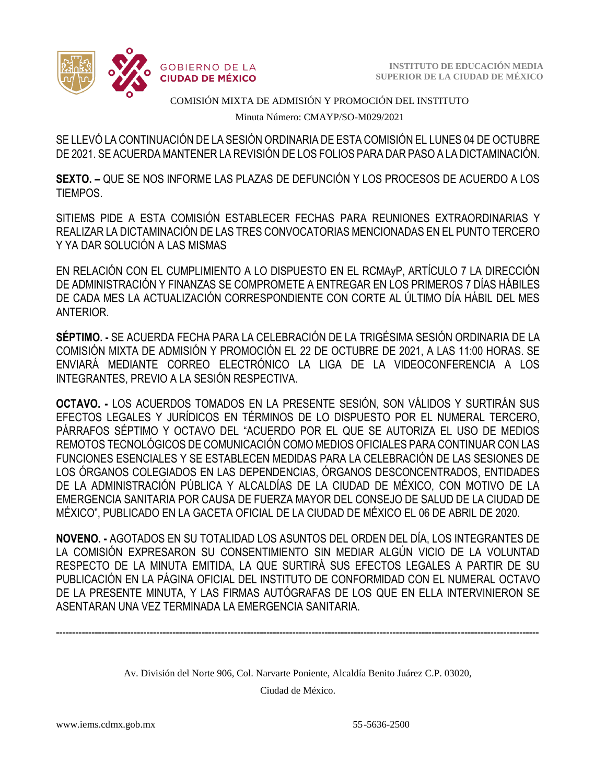



Minuta Número: CMAYP/SO-M029/2021

 SE LLEVÓ LA CONTINUACIÓN DE LA SESIÓN ORDINARIA DE ESTA COMISIÓN EL LUNES 04 DE OCTUBRE DE 2021. SE ACUERDA MANTENER LA REVISIÓN DE LOS FOLIOS PARA DAR PASO A LA DICTAMINACIÓN.

**SEXTO. –** QUE SE NOS INFORME LAS PLAZAS DE DEFUNCIÓN Y LOS PROCESOS DE ACUERDO A LOS TIEMPOS.

SITIEMS PIDE A ESTA COMISIÓN ESTABLECER FECHAS PARA REUNIONES EXTRAORDINARIAS Y REALIZAR LA DICTAMINACIÓN DE LAS TRES CONVOCATORIAS MENCIONADAS EN EL PUNTO TERCERO Y YA DAR SOLUCIÓN A LAS MISMAS

EN RELACIÓN CON EL CUMPLIMIENTO A LO DISPUESTO EN EL RCMAyP, ARTÍCULO 7 LA DIRECCIÓN DE ADMINISTRACIÓN Y FINANZAS SE COMPROMETE A ENTREGAR EN LOS PRIMEROS 7 DÍAS HÁBILES DE CADA MES LA ACTUALIZACIÓN CORRESPONDIENTE CON CORTE AL ÚLTIMO DÍA HÁBIL DEL MES ANTERIOR.

**SÉPTIMO. -** SE ACUERDA FECHA PARA LA CELEBRACIÓN DE LA TRIGÉSIMA SESIÓN ORDINARIA DE LA COMISIÓN MIXTA DE ADMISIÓN Y PROMOCIÓN EL 22 DE OCTUBRE DE 2021, A LAS 11:00 HORAS. SE ENVIARÁ MEDIANTE CORREO ELECTRÓNICO LA LIGA DE LA VIDEOCONFERENCIA A LOS INTEGRANTES, PREVIO A LA SESIÓN RESPECTIVA.

**OCTAVO. -** LOS ACUERDOS TOMADOS EN LA PRESENTE SESIÓN, SON VÁLIDOS Y SURTIRÁN SUS EFECTOS LEGALES Y JURÍDICOS EN TÉRMINOS DE LO DISPUESTO POR EL NUMERAL TERCERO, PÁRRAFOS SÉPTIMO Y OCTAVO DEL "ACUERDO POR EL QUE SE AUTORIZA EL USO DE MEDIOS REMOTOS TECNOLÓGICOS DE COMUNICACIÓN COMO MEDIOS OFICIALES PARA CONTINUAR CON LAS FUNCIONES ESENCIALES Y SE ESTABLECEN MEDIDAS PARA LA CELEBRACIÓN DE LAS SESIONES DE LOS ÓRGANOS COLEGIADOS EN LAS DEPENDENCIAS, ÓRGANOS DESCONCENTRADOS, ENTIDADES DE LA ADMINISTRACIÓN PÚBLICA Y ALCALDÍAS DE LA CIUDAD DE MÉXICO, CON MOTIVO DE LA EMERGENCIA SANITARIA POR CAUSA DE FUERZA MAYOR DEL CONSEJO DE SALUD DE LA CIUDAD DE MÉXICO", PUBLICADO EN LA GACETA OFICIAL DE LA CIUDAD DE MÉXICO EL 06 DE ABRIL DE 2020.

**NOVENO. -** AGOTADOS EN SU TOTALIDAD LOS ASUNTOS DEL ORDEN DEL DÍA, LOS INTEGRANTES DE LA COMISIÓN EXPRESARON SU CONSENTIMIENTO SIN MEDIAR ALGÚN VICIO DE LA VOLUNTAD RESPECTO DE LA MINUTA EMITIDA, LA QUE SURTIRÁ SUS EFECTOS LEGALES A PARTIR DE SU PUBLICACIÓN EN LA PÁGINA OFICIAL DEL INSTITUTO DE CONFORMIDAD CON EL NUMERAL OCTAVO DE LA PRESENTE MINUTA, Y LAS FIRMAS AUTÓGRAFAS DE LOS QUE EN ELLA INTERVINIERON SE ASENTARAN UNA VEZ TERMINADA LA EMERGENCIA SANITARIA.

Av. División del Norte 906, Col. Narvarte Poniente, Alcaldía Benito Juárez C.P. 03020,

-----------------------------------------------------------------------------------------------------------------------------------------------------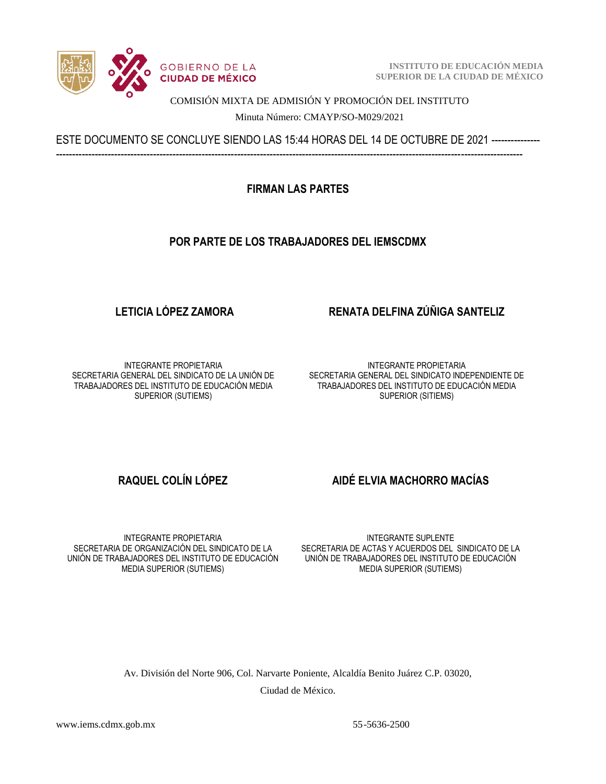

 **INSTITUTO DE EDUCACIÓN MEDIA SUPERIOR DE LA CIUDAD DE MÉXICO**

### COMISIÓN MIXTA DE ADMISIÓN Y PROMOCIÓN DEL INSTITUTO

Minuta Número: CMAYP/SO-M029/2021

ESTE DOCUMENTO SE CONCLUYE SIENDO LAS 15:44 HORAS DEL 14 DE OCTUBRE DE 2021 ---------------

------------------------------------------------------------------------------------------------------------------------------------------------

**FIRMAN LAS PARTES**

## **POR PARTE DE LOS TRABAJADORES DEL IEMSCDMX**

# **LETICIA LÓPEZ ZAMORA RENATA DELFINA ZÚÑIGA SANTELIZ**

INTEGRANTE PROPIETARIA SECRETARIA GENERAL DEL SINDICATO DE LA UNIÓN DE TRABAJADORES DEL INSTITUTO DE EDUCACIÓN MEDIA SUPERIOR (SUTIEMS)

INTEGRANTE PROPIETARIA SECRETARIA GENERAL DEL SINDICATO INDEPENDIENTE DE TRABAJADORES DEL INSTITUTO DE EDUCACIÓN MEDIA

SUPERIOR (SITIEMS)

# **RAQUEL COLÍN LÓPEZ AIDÉ ELVIA MACHORRO MACÍAS**

INTEGRANTE PROPIETARIA SECRETARIA DE ORGANIZACIÓN DEL SINDICATO DE LA UNIÓN DE TRABAJADORES DEL INSTITUTO DE EDUCACIÓN MEDIA SUPERIOR (SUTIEMS)

INTEGRANTE SUPLENTE SECRETARIA DE ACTAS Y ACUERDOS DEL SINDICATO DE LA UNIÓN DE TRABAJADORES DEL INSTITUTO DE EDUCACIÓN MEDIA SUPERIOR (SUTIEMS)

Av. División del Norte 906, Col. Narvarte Poniente, Alcaldía Benito Juárez C.P. 03020, Ciudad de México.